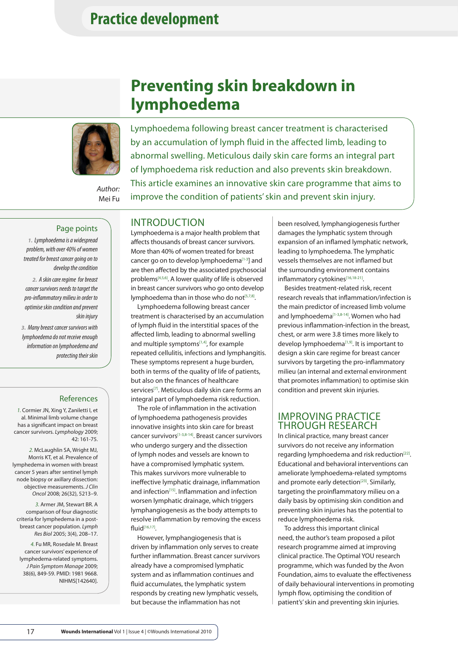## **Practice development**

## **Preventing skin breakdown in lymphoedema**



*Author:* Mei Fu Lymphoedema following breast cancer treatment is characterised by an accumulation of lymph fluid in the affected limb, leading to abnormal swelling. Meticulous daily skin care forms an integral part of lymphoedema risk reduction and also prevents skin breakdown. This article examines an innovative skin care programme that aims to improve the condition of patients' skin and prevent skin injury.

#### Page points

*1. Lymphoedema is a widespread problem, with over 40% of women treated for breast cancer going on to develop the condition* 

*2. A skin care regime for breast cancer survivors needs to target the pro-inflammatory milieu in order to optimise skin condition and prevent skin injury*

*3. Many breast cancer survivors with lymphoedema do not receive enough information on lymphoedema and protecting their skin*

#### References

*1.* Cormier JN, Xing Y, Zaniletti I, et al. Minimal limb volume change has a significant impact on breast cancer survivors. *Lymphology* 2009; 42: 161-75.

*2.* McLaughlin SA, Wright MJ, Morris KT, et al. Prevalence of lymphedema in women with breast cancer 5 years after sentinel lymph node biopsy or axillary dissection: objective measurements. *J Clin Oncol* 2008; 26(32), 5213–9.

*3.* Armer JM, Stewart BR. A comparison of four diagnostic criteria for lymphedema in a postbreast cancer population. *Lymph Res Biol* 2005; 3(4), 208–17.

*4.* Fu MR, Rosedale M. Breast cancer survivors' experience of lymphedema-related symptoms. *J Pain Symptom Manage* 2009; 38(6), 849-59. PMID: 1981 9668. NIHMS[142640].

## INTRODUCTION

Lymphoedema is a major health problem that affects thousands of breast cancer survivors. More than 40% of women treated for breast cancer go on to develop lymphoedema<sup>[1-3</sup>] and are then affected by the associated psychosocial problems[4,5,6]. A lower quality of life is observed in breast cancer survivors who go onto develop lymphoedema than in those who do not<sup>[5,7,8]</sup>.

Lymphoedema following breast cancer treatment is characterised by an accumulation of lymph fluid in the interstitial spaces of the affected limb, leading to abnormal swelling and multiple symptoms $[1,4]$ , for example repeated cellulitis, infections and lymphangitis. These symptoms represent a huge burden, both in terms of the quality of life of patients, but also on the finances of healthcare services<sup>[7]</sup>. Meticulous daily skin care forms an integral part of lymphoedema risk reduction.

The role of inflammation in the activation of lymphoedema pathogenesis provides innovative insights into skin care for breast cancer survivors[1-3,8-14]. Breast cancer survivors who undergo surgery and the dissection of lymph nodes and vessels are known to have a compromised lymphatic system. This makes survivors more vulnerable to ineffective lymphatic drainage, inflammation and infection<sup>[15]</sup>. Inflammation and infection worsen lymphatic drainage, which triggers lymphangiogenesis as the body attempts to resolve inflammation by removing the excess fluid[16,17].

However, lymphangiogenesis that is driven by inflammation only serves to create further inflammation. Breast cancer survivors already have a compromised lymphatic system and as inflammation continues and fluid accumulates, the lymphatic system responds by creating new lymphatic vessels, but because the inflammation has not

been resolved, lymphangiogenesis further damages the lymphatic system through expansion of an inflamed lymphatic network, leading to lymphoedema. The lymphatic vessels themselves are not inflamed but the surrounding environment contains inflammatory cytokines[16,18-21].

Besides treatment-related risk, recent research reveals that inflammation/infection is the main predictor of increased limb volume and lymphoedema<a>[1-3,8-14]</a>. Women who had previous inflammation-infection in the breast, chest, or arm were 3.8 times more likely to develop lymphoedema<a>[1,9]</a>. It is important to design a skin care regime for breast cancer survivors by targeting the pro-inflammatory milieu (an internal and external environment that promotes inflammation) to optimise skin condition and prevent skin injuries.

#### IMPROVING PRACTICE THROUGH RESEARCH

In clinical practice, many breast cancer survivors do not receive any information regarding lymphoedema and risk reduction<sup>[22]</sup>. Educational and behavioral interventions can ameliorate lymphoedema-related symptoms and promote early detection<sup>[23]</sup>. Similarly, targeting the proinflammatory milieu on a daily basis by optimising skin condition and preventing skin injuries has the potential to reduce lymphoedema risk.

To address this important clinical need, the author's team proposed a pilot research programme aimed at improving clinical practice. The Optimal YOU research programme, which was funded by the Avon Foundation, aims to evaluate the effectiveness of daily behavioural interventions in promoting lymph flow, optimising the condition of patient's' skin and preventing skin injuries.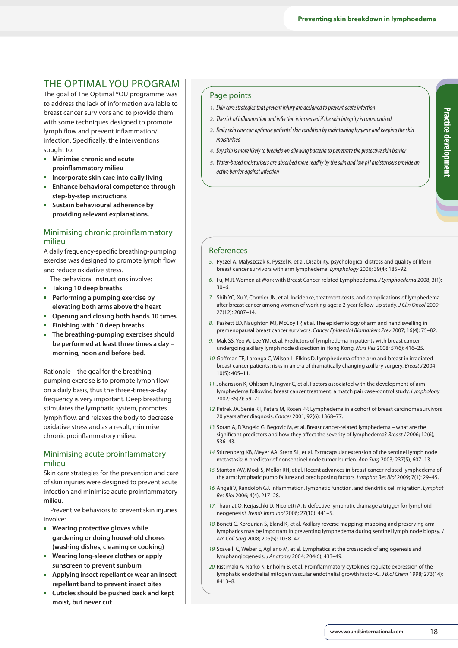## THE OPTIMAL YOU PROGRAM

The goal of The Optimal YOU programme was to address the lack of information available to breast cancer survivors and to provide them with some techniques designed to promote lymph flow and prevent inflammation/ infection. Specifically, the interventions sought to:

- $\blacksquare$  Minimise chronic and acute **proinflammatory milieu**
- <sup>n</sup> **Incorporate skin care into daily living**
- **Enhance behavioral competence through step-by-step instructions**
- <sup>n</sup> **Sustain behavioural adherence by providing relevant explanations.**

### Minimising chronic proinflammatory milieu

A daily frequency-specific breathing-pumping exercise was designed to promote lymph flow and reduce oxidative stress.

The behavioral instructions involve:

- <sup>n</sup> **Taking 10 deep breaths**
- <sup>n</sup> **Performing a pumping exercise by elevating both arms above the heart**
- <sup>n</sup> **Opening and closing both hands 10 times**
- <sup>n</sup> **Finishing with 10 deep breaths**
- **n** The breathing-pumping exercises should **be performed at least three times a day – morning, noon and before bed.**

Rationale – the goal for the breathingpumping exercise is to promote lymph flow on a daily basis, thus the three-times-a-day frequency is very important. Deep breathing stimulates the lymphatic system, promotes lymph flow, and relaxes the body to decrease oxidative stress and as a result, minimise chronic proinflammatory milieu.

#### Minimising acute proinflammatory milieu

Skin care strategies for the prevention and care of skin injuries were designed to prevent acute infection and minimise acute proinflammatory milieu.

Preventive behaviors to prevent skin injuries involve:

- $\blacksquare$  Wearing protective gloves while **gardening or doing household chores (washing dishes, cleaning or cooking)**
- <sup>n</sup> **Wearing long-sleeve clothes or apply sunscreen to prevent sunburn**
- $\blacksquare$  Applying insect repellant or wear an insect**repellant band to prevent insect bites**
- <sup>n</sup> **Cuticles should be pushed back and kept moist, but never cut**

#### Page points

- *1. Skin care strategies that prevent injury are designed to prevent acute infection*
- *2. The risk of inflammation and infection is increased if the skin integrity is compromised*
- *3. Daily skin care can optimise patients' skin condition by maintaining hygiene and keeping the skin moisturised*
- *4. Dry skin is more likely to breakdown allowing bacteria to penetrate the protective skin barrier*
- *5. Water-based moisturisers are absorbed more readily by the skin and low pH moisturisers provide an active barrier against infection*

#### References

- *5.* Pyszel A, Malyszczak K, Pyszel K, et al. Disability, psychological distress and quality of life in breast cancer survivors with arm lymphedema. *Lymphology* 2006; 39(4): 185–92.
- *6.* Fu, M.R. Women at Work with Breast Cancer-related Lymphoedema. *J Lymphoedema* 2008; 3(1): 30–6.
- *7.* Shih YC, Xu Y, Cormier JN, et al. Incidence, treatment costs, and complications of lymphedema after breast cancer among women of working age: a 2-year follow-up study. *J Clin Oncol* 2009; 27(12): 2007–14.
- *8.* Paskett ED, Naughton MJ, McCoy TP, et al. The epidemiology of arm and hand swelling in premenopausal breast cancer survivors. *Cancer Epidemiol Biomarkers Prev* 2007; 16(4): 75–82.
- *9.* Mak SS, Yeo W, Lee YM, et al. Predictors of lymphedema in patients with breast cancer undergoing axillary lymph node dissection in Hong Kong. *Nurs Res* 2008; 57(6): 416–25.
- *10.*Goffman TE, Laronga C, Wilson L, Elkins D. Lymphedema of the arm and breast in irradiated breast cancer patients: risks in an era of dramatically changing axillary surgery. *Breast J* 2004; 10(5): 405–11.
- *11.*Johansson K, Ohlsson K, Ingvar C, et al. Factors associated with the development of arm lymphedema following breast cancer treatment: a match pair case-control study. *Lymphology* 2002; 35(2): 59–71.
- *12.*Petrek JA, Senie RT, Peters M, Rosen PP. Lymphedema in a cohort of breast carcinoma survivors 20 years after diagnosis. *Cancer* 2001; 92(6): 1368–77.
- *13.* Soran A, D'Angelo G, Begovic M, et al. Breast cancer-related lymphedema what are the significant predictors and how they affect the severity of lymphedema? *Breast J* 2006; 12(6), 536–43.
- *14.* Stitzenberg KB, Meyer AA, Stern SL, et al. Extracapsular extension of the sentinel lymph node metastasis: A predictor of nonsentinel node tumor burden. *Ann Surg* 2003; 237(5), 607–13.
- *15.* Stanton AW, Modi S, Mellor RH, et al. Recent advances in breast cancer-related lymphedema of the arm: lymphatic pump failure and predisposing factors. *Lymphat Res Biol* 2009; 7(1): 29–45.
- *16.*Angeli V, Randolph GJ. Inflammation, lymphatic function, and dendritic cell migration. *Lymphat Res Biol* 2006; 4(4), 217–28.
- *17.* Thaunat O, Kerjaschki D, Nicoletti A. Is defective lymphatic drainage a trigger for lymphoid neogenesis? *Trends Immunol* 2006; 27(10): 441–5.
- *18.*Boneti C, Korourian S, Bland K, et al. Axillary reverse mapping: mapping and preserving arm lymphatics may be important in preventing lymphedema during sentinel lymph node biopsy. *J Am Coll Surg* 2008; 206(5): 1038–42.
- *19.* Scavelli C, Weber E, Agliano M, et al. Lymphatics at the crossroads of angiogenesis and lymphangiogenesis. *J Anatomy* 2004; 204(6), 433–49.
- *20.*Ristimaki A, Narko K, Enholm B, et al. Proinflammatory cytokines regulate expression of the lymphatic endothelial mitogen vascular endothelial growth factor-C. *J Biol Chem* 1998; 273(14): 8413–8.